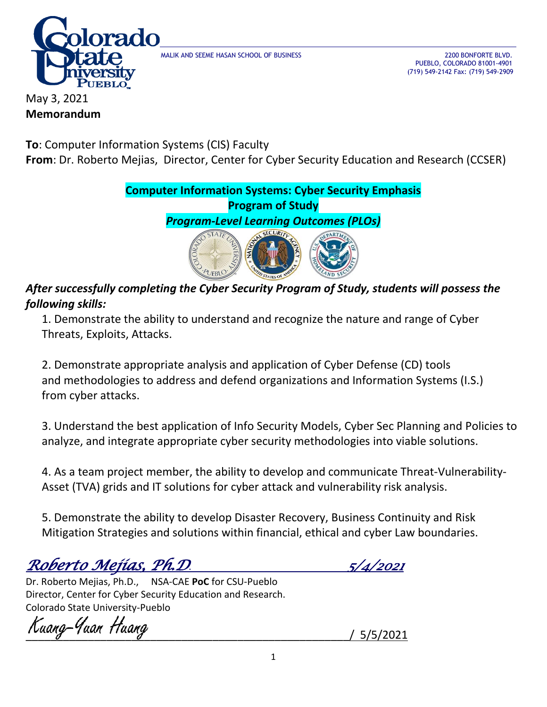

MALIK AND SEEME HASAN SCHOOL OF BUSINESS 2200 BONFORTE BLVD.

 PUEBLO, COLORADO 81001-4901 (719) 549-2142 Fax: (719) 549-2909

May 3, 2021 **Memorandum**

**To**: Computer Information Systems (CIS) Faculty **From**: Dr. Roberto Mejias, Director, Center for Cyber Security Education and Research (CCSER)

> **Computer Information Systems: Cyber Security Emphasis Program of Study**

*Program-Level Learning Outcomes (PLOs)*



## *After successfully completing the Cyber Security Program of Study, students will possess the following skills:*

1. Demonstrate the ability to understand and recognize the nature and range of Cyber Threats, Exploits, Attacks.

2. Demonstrate appropriate analysis and application of Cyber Defense (CD) tools and methodologies to address and defend organizations and Information Systems (I.S.) from cyber attacks.

3. Understand the best application of Info Security Models, Cyber Sec Planning and Policies to analyze, and integrate appropriate cyber security methodologies into viable solutions.

4. As a team project member, the ability to develop and communicate Threat-Vulnerability-Asset (TVA) grids and IT solutions for cyber attack and vulnerability risk analysis.

5. Demonstrate the ability to develop Disaster Recovery, Business Continuity and Risk Mitigation Strategies and solutions within financial, ethical and cyber Law boundaries.

*Roberto Mejias, Ph.D*. *5/4/2021*

Dr. Roberto Mejias, Ph.D., NSA-CAE **PoC** for CSU-Pueblo Director, Center for Cyber Security Education and Research. Colorado State University-Pueblo

\_\_\_\_\_\_\_\_\_\_\_\_\_\_\_\_\_\_\_\_\_\_\_\_\_\_\_\_\_\_\_\_\_\_\_\_\_\_\_\_\_\_\_\_\_\_\_\_\_\_\_\_/ 5/5/2021